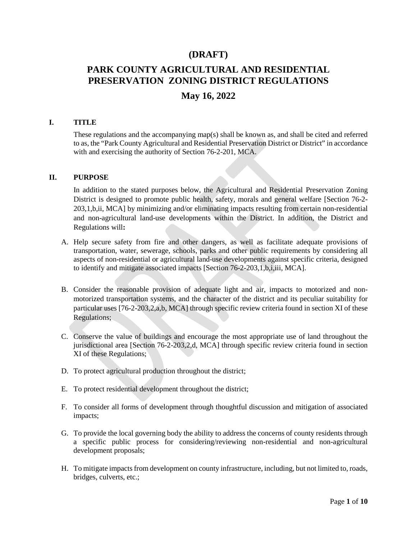# **(DRAFT)**

# **PARK COUNTY AGRICULTURAL AND RESIDENTIAL PRESERVATION ZONING DISTRICT REGULATIONS**

# **May 16, 2022**

#### **I. TITLE**

These regulations and the accompanying map(s) shall be known as, and shall be cited and referred to as, the "Park County Agricultural and Residential Preservation District or District" in accordance with and exercising the authority of Section 76-2-201, MCA.

#### **II. PURPOSE**

In addition to the stated purposes below, the Agricultural and Residential Preservation Zoning District is designed to promote public health, safety, morals and general welfare [Section 76-2- 203,1,b,ii, MCA] by minimizing and/or eliminating impacts resulting from certain non-residential and non-agricultural land-use developments within the District. In addition, the District and Regulations will**:**

- A. Help secure safety from fire and other dangers, as well as facilitate adequate provisions of transportation, water, sewerage, schools, parks and other public requirements by considering all aspects of non-residential or agricultural land-use developments against specific criteria, designed to identify and mitigate associated impacts [Section 76-2-203,1,b,i,iii, MCA].
- B. Consider the reasonable provision of adequate light and air, impacts to motorized and nonmotorized transportation systems, and the character of the district and its peculiar suitability for particular uses [76-2-203,2,a,b, MCA] through specific review criteria found in section XI of these Regulations;
- C. Conserve the value of buildings and encourage the most appropriate use of land throughout the jurisdictional area [Section 76-2-203,2,d, MCA] through specific review criteria found in section XI of these Regulations;
- D. To protect agricultural production throughout the district;
- E. To protect residential development throughout the district;
- F. To consider all forms of development through thoughtful discussion and mitigation of associated impacts;
- G. To provide the local governing body the ability to address the concerns of county residents through a specific public process for considering/reviewing non-residential and non-agricultural development proposals;
- H. To mitigate impacts from development on county infrastructure, including, but not limited to, roads, bridges, culverts, etc.;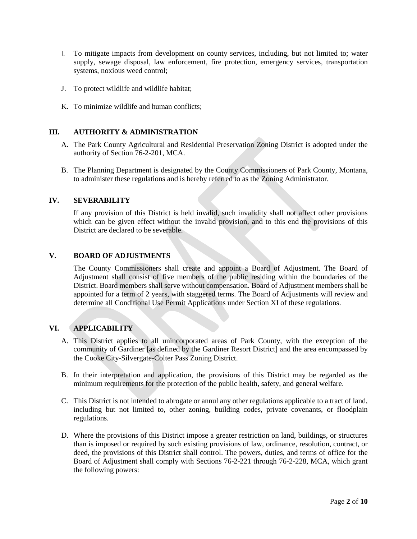- I. To mitigate impacts from development on county services, including, but not limited to; water supply, sewage disposal, law enforcement, fire protection, emergency services, transportation systems, noxious weed control;
- J. To protect wildlife and wildlife habitat;
- K. To minimize wildlife and human conflicts;

#### **III. AUTHORITY & ADMINISTRATION**

- A. The Park County Agricultural and Residential Preservation Zoning District is adopted under the authority of Section 76-2-201, MCA.
- B. The Planning Department is designated by the County Commissioners of Park County, Montana, to administer these regulations and is hereby referred to as the Zoning Administrator.

#### **IV. SEVERABILITY**

If any provision of this District is held invalid, such invalidity shall not affect other provisions which can be given effect without the invalid provision, and to this end the provisions of this District are declared to be severable.

#### **V. BOARD OF ADJUSTMENTS**

The County Commissioners shall create and appoint a Board of Adjustment. The Board of Adjustment shall consist of five members of the public residing within the boundaries of the District. Board members shall serve without compensation. Board of Adjustment members shall be appointed for a term of 2 years, with staggered terms. The Board of Adjustments will review and determine all Conditional Use Permit Applications under Section XI of these regulations.

#### **VI. APPLICABILITY**

- A. This District applies to all unincorporated areas of Park County, with the exception of the community of Gardiner [as defined by the Gardiner Resort District] and the area encompassed by the Cooke City-Silvergate-Colter Pass Zoning District.
- B. In their interpretation and application, the provisions of this District may be regarded as the minimum requirements for the protection of the public health, safety, and general welfare.
- C. This District is not intended to abrogate or annul any other regulations applicable to a tract of land, including but not limited to, other zoning, building codes, private covenants, or floodplain regulations.
- D. Where the provisions of this District impose a greater restriction on land, buildings, or structures than is imposed or required by such existing provisions of law, ordinance, resolution, contract, or deed, the provisions of this District shall control. The powers, duties, and terms of office for the Board of Adjustment shall comply with Sections 76-2-221 through 76-2-228, MCA, which grant the following powers: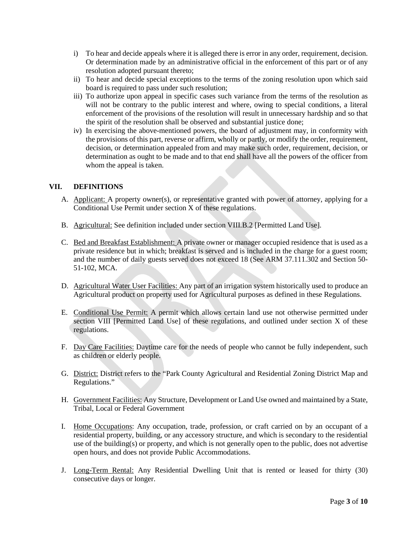- i) To hear and decide appeals where it is alleged there is error in any order, requirement, decision. Or determination made by an administrative official in the enforcement of this part or of any resolution adopted pursuant thereto;
- ii) To hear and decide special exceptions to the terms of the zoning resolution upon which said board is required to pass under such resolution;
- iii) To authorize upon appeal in specific cases such variance from the terms of the resolution as will not be contrary to the public interest and where, owing to special conditions, a literal enforcement of the provisions of the resolution will result in unnecessary hardship and so that the spirit of the resolution shall be observed and substantial justice done;
- iv) In exercising the above-mentioned powers, the board of adjustment may, in conformity with the provisions of this part, reverse or affirm, wholly or partly, or modify the order, requirement, decision, or determination appealed from and may make such order, requirement, decision, or determination as ought to be made and to that end shall have all the powers of the officer from whom the appeal is taken.

### **VII. DEFINITIONS**

- A. Applicant: A property owner(s), or representative granted with power of attorney, applying for a Conditional Use Permit under section X of these regulations.
- B. Agricultural: See definition included under section VIII.B.2 [Permitted Land Use].
- C. Bed and Breakfast Establishment: A private owner or manager occupied residence that is used as a private residence but in which; breakfast is served and is included in the charge for a guest room; and the number of daily guests served does not exceed 18 (See ARM 37.111.302 and Section 50- 51-102, MCA.
- D. Agricultural Water User Facilities: Any part of an irrigation system historically used to produce an Agricultural product on property used for Agricultural purposes as defined in these Regulations.
- E. Conditional Use Permit: A permit which allows certain land use not otherwise permitted under section VIII [Permitted Land Use] of these regulations, and outlined under section X of these regulations.
- F. Day Care Facilities: Daytime care for the needs of people who cannot be fully independent, such as children or elderly people.
- G. District: District refers to the "Park County Agricultural and Residential Zoning District Map and Regulations."
- H. Government Facilities: Any Structure, Development or Land Use owned and maintained by a State, Tribal, Local or Federal Government
- I. Home Occupations: Any occupation, trade, profession, or craft carried on by an occupant of a residential property, building, or any accessory structure, and which is secondary to the residential use of the building(s) or property, and which is not generally open to the public, does not advertise open hours, and does not provide Public Accommodations.
- J. Long-Term Rental: Any Residential Dwelling Unit that is rented or leased for thirty (30) consecutive days or longer.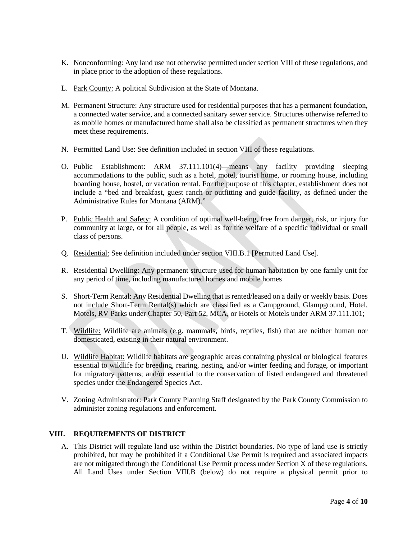- K. Nonconforming: Any land use not otherwise permitted under section VIII of these regulations, and in place prior to the adoption of these regulations.
- L. Park County: A political Subdivision at the State of Montana.
- M. Permanent Structure: Any structure used for residential purposes that has a permanent foundation, a connected water service, and a connected sanitary sewer service. Structures otherwise referred to as mobile homes or manufactured home shall also be classified as permanent structures when they meet these requirements.
- N. Permitted Land Use: See definition included in section VIII of these regulations.
- O. Public Establishment: ARM 37.111.101(4)—means any facility providing sleeping accommodations to the public, such as a hotel, motel, tourist home, or rooming house, including boarding house, hostel, or vacation rental. For the purpose of this chapter, establishment does not include a "bed and breakfast, guest ranch or outfitting and guide facility, as defined under the Administrative Rules for Montana (ARM)."
- P. Public Health and Safety: A condition of optimal well-being, free from danger, risk, or injury for community at large, or for all people, as well as for the welfare of a specific individual or small class of persons.
- Q. Residential: See definition included under section VIII.B.1 [Permitted Land Use].
- R. Residential Dwelling: Any permanent structure used for human habitation by one family unit for any period of time, including manufactured homes and mobile homes
- S. Short-Term Rental: Any Residential Dwelling that is rented/leased on a daily or weekly basis. Does not include Short-Term Rental(s) which are classified as a Campground, Glampground, Hotel, Motels, RV Parks under Chapter 50, Part 52, MCA, or Hotels or Motels under ARM 37.111.101;
- T. Wildlife: Wildlife are animals (e.g. mammals, birds, reptiles, fish) that are neither human nor domesticated, existing in their natural environment.
- U. Wildlife Habitat: Wildlife habitats are geographic areas containing physical or biological features essential to wildlife for breeding, rearing, nesting, and/or winter feeding and forage, or important for migratory patterns; and/or essential to the conservation of listed endangered and threatened species under the Endangered Species Act.
- V. Zoning Administrator: Park County Planning Staff designated by the Park County Commission to administer zoning regulations and enforcement.

# **VIII. REQUIREMENTS OF DISTRICT**

A. This District will regulate land use within the District boundaries. No type of land use is strictly prohibited, but may be prohibited if a Conditional Use Permit is required and associated impacts are not mitigated through the Conditional Use Permit process under Section X of these regulations. All Land Uses under Section VIII.B (below) do not require a physical permit prior to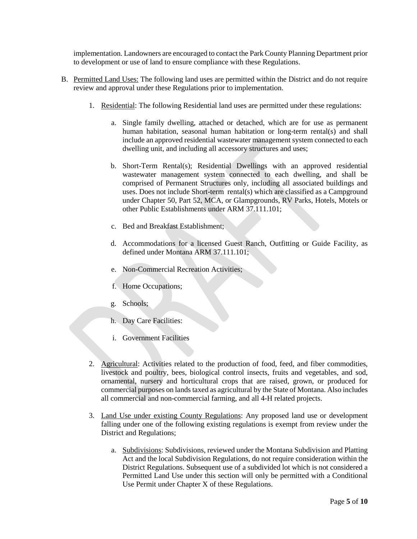implementation. Landowners are encouraged to contact the Park County Planning Department prior to development or use of land to ensure compliance with these Regulations.

- B. Permitted Land Uses: The following land uses are permitted within the District and do not require review and approval under these Regulations prior to implementation.
	- 1. Residential: The following Residential land uses are permitted under these regulations:
		- a. Single family dwelling, attached or detached, which are for use as permanent human habitation, seasonal human habitation or long-term rental(s) and shall include an approved residential wastewater management system connected to each dwelling unit, and including all accessory structures and uses;
		- b. Short-Term Rental(s); Residential Dwellings with an approved residential wastewater management system connected to each dwelling, and shall be comprised of Permanent Structures only, including all associated buildings and uses. Does not include Short-term rental(s) which are classified as a Campground under Chapter 50, Part 52, MCA, or Glampgrounds, RV Parks, Hotels, Motels or other Public Establishments under ARM 37.111.101;
		- c. Bed and Breakfast Establishment;
		- d. Accommodations for a licensed Guest Ranch, Outfitting or Guide Facility, as defined under Montana ARM 37.111.101;
		- e. Non-Commercial Recreation Activities;
		- f. Home Occupations;
		- g. Schools;
		- h. Day Care Facilities:
		- i. Government Facilities
	- 2. Agricultural: Activities related to the production of food, feed, and fiber commodities, livestock and poultry, bees, biological control insects, fruits and vegetables, and sod, ornamental, nursery and horticultural crops that are raised, grown, or produced for commercial purposes on lands taxed as agricultural by the State of Montana. Also includes all commercial and non-commercial farming, and all 4-H related projects.
	- 3. Land Use under existing County Regulations: Any proposed land use or development falling under one of the following existing regulations is exempt from review under the District and Regulations;
		- a. Subdivisions: Subdivisions, reviewed under the Montana Subdivision and Platting Act and the local Subdivision Regulations, do not require consideration within the District Regulations. Subsequent use of a subdivided lot which is not considered a Permitted Land Use under this section will only be permitted with a Conditional Use Permit under Chapter X of these Regulations.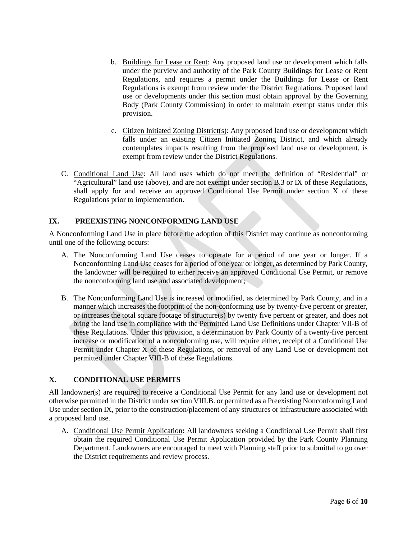- b. Buildings for Lease or Rent: Any proposed land use or development which falls under the purview and authority of the Park County Buildings for Lease or Rent Regulations, and requires a permit under the Buildings for Lease or Rent Regulations is exempt from review under the District Regulations. Proposed land use or developments under this section must obtain approval by the Governing Body (Park County Commission) in order to maintain exempt status under this provision.
- c. Citizen Initiated Zoning District(s): Any proposed land use or development which falls under an existing Citizen Initiated Zoning District, and which already contemplates impacts resulting from the proposed land use or development, is exempt from review under the District Regulations.
- C. Conditional Land Use: All land uses which do not meet the definition of "Residential" or "Agricultural" land use (above), and are not exempt under section B.3 or IX of these Regulations, shall apply for and receive an approved Conditional Use Permit under section X of these Regulations prior to implementation.

# **IX. PREEXISTING NONCONFORMING LAND USE**

A Nonconforming Land Use in place before the adoption of this District may continue as nonconforming until one of the following occurs:

- A. The Nonconforming Land Use ceases to operate for a period of one year or longer. If a Nonconforming Land Use ceases for a period of one year or longer, as determined by Park County, the landowner will be required to either receive an approved Conditional Use Permit, or remove the nonconforming land use and associated development;
- B. The Nonconforming Land Use is increased or modified, as determined by Park County, and in a manner which increases the footprint of the non-conforming use by twenty-five percent or greater, or increases the total square footage of structure(s) by twenty five percent or greater, and does not bring the land use in compliance with the Permitted Land Use Definitions under Chapter VII-B of these Regulations. Under this provision, a determination by Park County of a twenty-five percent increase or modification of a nonconforming use, will require either, receipt of a Conditional Use Permit under Chapter X of these Regulations, or removal of any Land Use or development not permitted under Chapter VIII-B of these Regulations.

# **X. CONDITIONAL USE PERMITS**

All landowner(s) are required to receive a Conditional Use Permit for any land use or development not otherwise permitted in the District under section VIII.B. or permitted as a Preexisting Nonconforming Land Use under section IX, prior to the construction/placement of any structures or infrastructure associated with a proposed land use.

A. Conditional Use Permit Application**:** All landowners seeking a Conditional Use Permit shall first obtain the required Conditional Use Permit Application provided by the Park County Planning Department. Landowners are encouraged to meet with Planning staff prior to submittal to go over the District requirements and review process.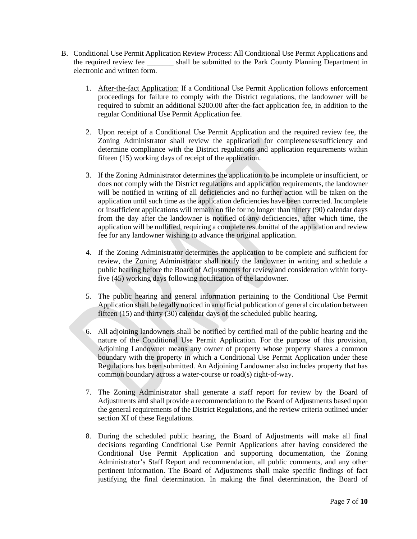- B. Conditional Use Permit Application Review Process: All Conditional Use Permit Applications and the required review fee \_\_\_\_\_\_\_\_ shall be submitted to the Park County Planning Department in electronic and written form.
	- 1. After-the-fact Application: If a Conditional Use Permit Application follows enforcement proceedings for failure to comply with the District regulations, the landowner will be required to submit an additional \$200.00 after-the-fact application fee, in addition to the regular Conditional Use Permit Application fee.
	- 2. Upon receipt of a Conditional Use Permit Application and the required review fee, the Zoning Administrator shall review the application for completeness/sufficiency and determine compliance with the District regulations and application requirements within fifteen (15) working days of receipt of the application.
	- 3. If the Zoning Administrator determines the application to be incomplete or insufficient, or does not comply with the District regulations and application requirements, the landowner will be notified in writing of all deficiencies and no further action will be taken on the application until such time as the application deficiencies have been corrected. Incomplete or insufficient applications will remain on file for no longer than ninety (90) calendar days from the day after the landowner is notified of any deficiencies, after which time, the application will be nullified, requiring a complete resubmittal of the application and review fee for any landowner wishing to advance the original application.
	- 4. If the Zoning Administrator determines the application to be complete and sufficient for review, the Zoning Administrator shall notify the landowner in writing and schedule a public hearing before the Board of Adjustments for review and consideration within fortyfive (45) working days following notification of the landowner.
	- 5. The public hearing and general information pertaining to the Conditional Use Permit Application shall be legally noticed in an official publication of general circulation between fifteen (15) and thirty (30) calendar days of the scheduled public hearing.
	- 6. All adjoining landowners shall be notified by certified mail of the public hearing and the nature of the Conditional Use Permit Application. For the purpose of this provision, Adjoining Landowner means any owner of property whose property shares a common boundary with the property in which a Conditional Use Permit Application under these Regulations has been submitted. An Adjoining Landowner also includes property that has common boundary across a water-course or road(s) right-of-way.
	- 7. The Zoning Administrator shall generate a staff report for review by the Board of Adjustments and shall provide a recommendation to the Board of Adjustments based upon the general requirements of the District Regulations, and the review criteria outlined under section XI of these Regulations.
	- 8. During the scheduled public hearing, the Board of Adjustments will make all final decisions regarding Conditional Use Permit Applications after having considered the Conditional Use Permit Application and supporting documentation, the Zoning Administrator's Staff Report and recommendation, all public comments, and any other pertinent information. The Board of Adjustments shall make specific findings of fact justifying the final determination. In making the final determination, the Board of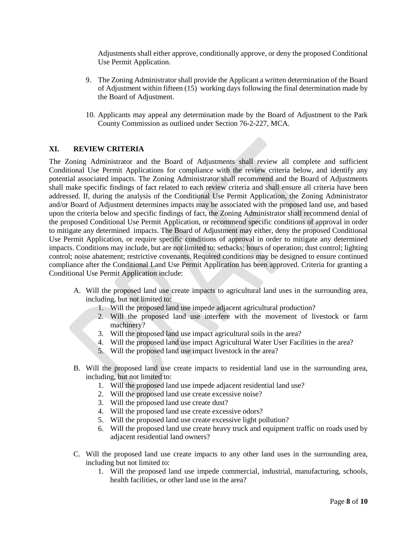Adjustments shall either approve, conditionally approve, or deny the proposed Conditional Use Permit Application.

- 9. The Zoning Administrator shall provide the Applicant a written determination of the Board of Adjustment within fifteen (15) working days following the final determination made by the Board of Adjustment.
- 10. Applicants may appeal any determination made by the Board of Adjustment to the Park County Commission as outlined under Section 76-2-227, MCA.

#### **XI. REVIEW CRITERIA**

The Zoning Administrator and the Board of Adjustments shall review all complete and sufficient Conditional Use Permit Applications for compliance with the review criteria below, and identify any potential associated impacts. The Zoning Administrator shall recommend and the Board of Adjustments shall make specific findings of fact related to each review criteria and shall ensure all criteria have been addressed. If, during the analysis of the Conditional Use Permit Application, the Zoning Administrator and/or Board of Adjustment determines impacts may be associated with the proposed land use, and based upon the criteria below and specific findings of fact, the Zoning Administrator shall recommend denial of the proposed Conditional Use Permit Application, or recommend specific conditions of approval in order to mitigate any determined impacts. The Board of Adjustment may either, deny the proposed Conditional Use Permit Application, or require specific conditions of approval in order to mitigate any determined impacts. Conditions may include, but are not limited to: setbacks; hours of operation; dust control; lighting control; noise abatement; restrictive covenants. Required conditions may be designed to ensure continued compliance after the Conditional Land Use Permit Application has been approved. Criteria for granting a Conditional Use Permit Application include:

- A. Will the proposed land use create impacts to agricultural land uses in the surrounding area, including, but not limited to:
	- 1. Will the proposed land use impede adjacent agricultural production?
	- 2. Will the proposed land use interfere with the movement of livestock or farm machinery?
	- 3. Will the proposed land use impact agricultural soils in the area?
	- 4. Will the proposed land use impact Agricultural Water User Facilities in the area?
	- 5. Will the proposed land use impact livestock in the area?
- B. Will the proposed land use create impacts to residential land use in the surrounding area, including, but not limited to:
	- 1. Will the proposed land use impede adjacent residential land use?
	- 2. Will the proposed land use create excessive noise?
	- 3. Will the proposed land use create dust?
	- 4. Will the proposed land use create excessive odors?
	- 5. Will the proposed land use create excessive light pollution?
	- 6. Will the proposed land use create heavy truck and equipment traffic on roads used by adjacent residential land owners?
- C. Will the proposed land use create impacts to any other land uses in the surrounding area, including but not limited to:
	- 1. Will the proposed land use impede commercial, industrial, manufacturing, schools, health facilities, or other land use in the area?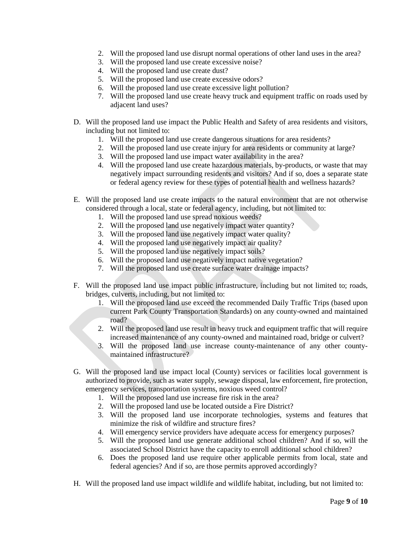- 2. Will the proposed land use disrupt normal operations of other land uses in the area?
- 3. Will the proposed land use create excessive noise?
- 4. Will the proposed land use create dust?
- 5. Will the proposed land use create excessive odors?
- 6. Will the proposed land use create excessive light pollution?
- 7. Will the proposed land use create heavy truck and equipment traffic on roads used by adjacent land uses?
- D. Will the proposed land use impact the Public Health and Safety of area residents and visitors, including but not limited to:
	- 1. Will the proposed land use create dangerous situations for area residents?
	- 2. Will the proposed land use create injury for area residents or community at large?
	- 3. Will the proposed land use impact water availability in the area?
	- 4. Will the proposed land use create hazardous materials, by-products, or waste that may negatively impact surrounding residents and visitors? And if so, does a separate state or federal agency review for these types of potential health and wellness hazards?
- E. Will the proposed land use create impacts to the natural environment that are not otherwise considered through a local, state or federal agency, including, but not limited to:
	- 1. Will the proposed land use spread noxious weeds?
	- 2. Will the proposed land use negatively impact water quantity?
	- 3. Will the proposed land use negatively impact water quality?
	- 4. Will the proposed land use negatively impact air quality?
	- 5. Will the proposed land use negatively impact soils?
	- 6. Will the proposed land use negatively impact native vegetation?
	- 7. Will the proposed land use create surface water drainage impacts?
- F. Will the proposed land use impact public infrastructure, including but not limited to; roads, bridges, culverts, including, but not limited to:
	- 1. Will the proposed land use exceed the recommended Daily Traffic Trips (based upon current Park County Transportation Standards) on any county-owned and maintained road?
	- 2. Will the proposed land use result in heavy truck and equipment traffic that will require increased maintenance of any county-owned and maintained road, bridge or culvert?
	- 3. Will the proposed land use increase county-maintenance of any other countymaintained infrastructure?
- G. Will the proposed land use impact local (County) services or facilities local government is authorized to provide, such as water supply, sewage disposal, law enforcement, fire protection, emergency services, transportation systems, noxious weed control?
	- 1. Will the proposed land use increase fire risk in the area?
	- 2. Will the proposed land use be located outside a Fire District?
	- 3. Will the proposed land use incorporate technologies, systems and features that minimize the risk of wildfire and structure fires?
	- 4. Will emergency service providers have adequate access for emergency purposes?
	- 5. Will the proposed land use generate additional school children? And if so, will the associated School District have the capacity to enroll additional school children?
	- 6. Does the proposed land use require other applicable permits from local, state and federal agencies? And if so, are those permits approved accordingly?
- H. Will the proposed land use impact wildlife and wildlife habitat, including, but not limited to: